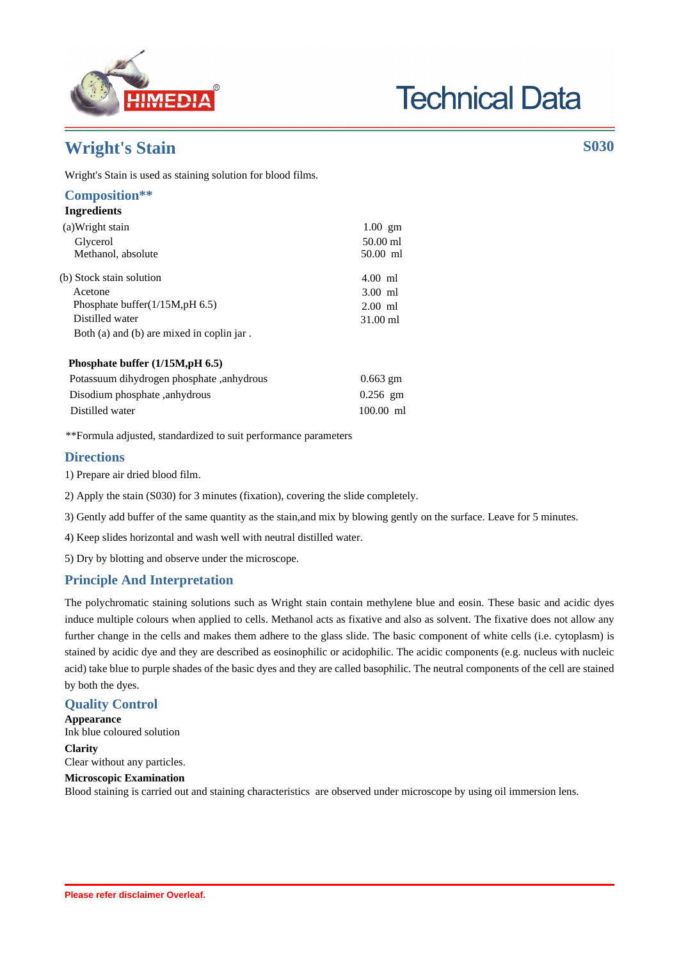

# **Technical Data**

# **Wright's Stain S030**

Wright's Stain is used as staining solution for blood films.

#### **Composition\*\* Ingredients**

| (a) Wright stain                                        | $1.00$ gm   |
|---------------------------------------------------------|-------------|
| Glycerol                                                | $50.00$ ml  |
| Methanol, absolute                                      | 50.00 ml    |
| (b) Stock stain solution                                | $4.00$ ml   |
| Acetone                                                 | $3.00$ ml   |
| Phosphate buffer $(1/15M, pH 6.5)$                      | $2.00$ ml   |
| Distilled water                                         | 31.00 ml    |
| Both (a) and (b) are mixed in coplin jar.               |             |
| Phosphate buffer $(1/15M, pH 6.5)$                      |             |
| Potassuum dihydrogen phosphate, anhydrous<br>$0.663$ gm |             |
| Disodium phosphate, anhydrous                           | $0.256$ gm  |
| Distilled water                                         | $100.00$ ml |

\*\*Formula adjusted, standardized to suit performance parameters

## **Directions**

- 1) Prepare air dried blood film.
- 2) Apply the stain (S030) for 3 minutes (fixation), covering the slide completely.
- 3) Gently add buffer of the same quantity as the stain,and mix by blowing gently on the surface. Leave for 5 minutes.
- 4) Keep slides horizontal and wash well with neutral distilled water.
- 5) Dry by blotting and observe under the microscope.

# **Principle And Interpretation**

The polychromatic staining solutions such as Wright stain contain methylene blue and eosin. These basic and acidic dyes induce multiple colours when applied to cells. Methanol acts as fixative and also as solvent. The fixative does not allow any further change in the cells and makes them adhere to the glass slide. The basic component of white cells (i.e. cytoplasm) is stained by acidic dye and they are described as eosinophilic or acidophilic. The acidic components (e.g. nucleus with nucleic acid) take blue to purple shades of the basic dyes and they are called basophilic. The neutral components of the cell are stained by both the dyes.

## **Quality Control**

**Appearance** Ink blue coloured solution **Clarity**

Clear without any particles.

#### **Microscopic Examination** Blood staining is carried out and staining characteristics are observed under microscope by using oil immersion lens.